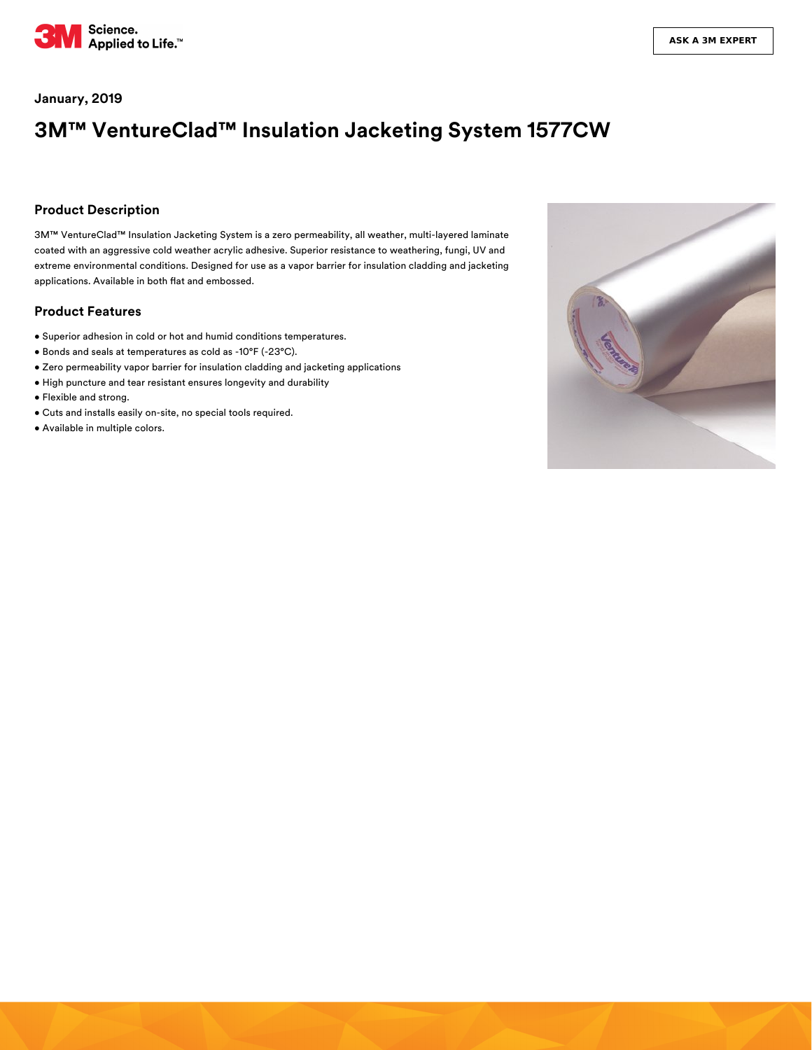

## **January, 2019**

# **3M™ VentureClad™ Insulation Jacketing System 1577CW**

#### **Product Description**

3M™ VentureClad™ Insulation Jacketing System is a zero permeability, all weather, multi-layered laminate coated with an aggressive cold weather acrylic adhesive. Superior resistance to weathering, fungi, UV and extreme environmental conditions. Designed for use as a vapor barrier for insulation cladding and jacketing applications. Available in both flat and embossed.

#### **Product Features**

- Superior adhesion in cold or hot and humid conditions temperatures.
- Bonds and seals at temperatures as cold as -10°F (-23°C).
- Zero permeability vapor barrier for insulation cladding and jacketing applications
- High puncture and tear resistant ensures longevity and durability
- Flexible and strong.
- Cuts and installs easily on-site, no special tools required.
- Available in multiple colors.

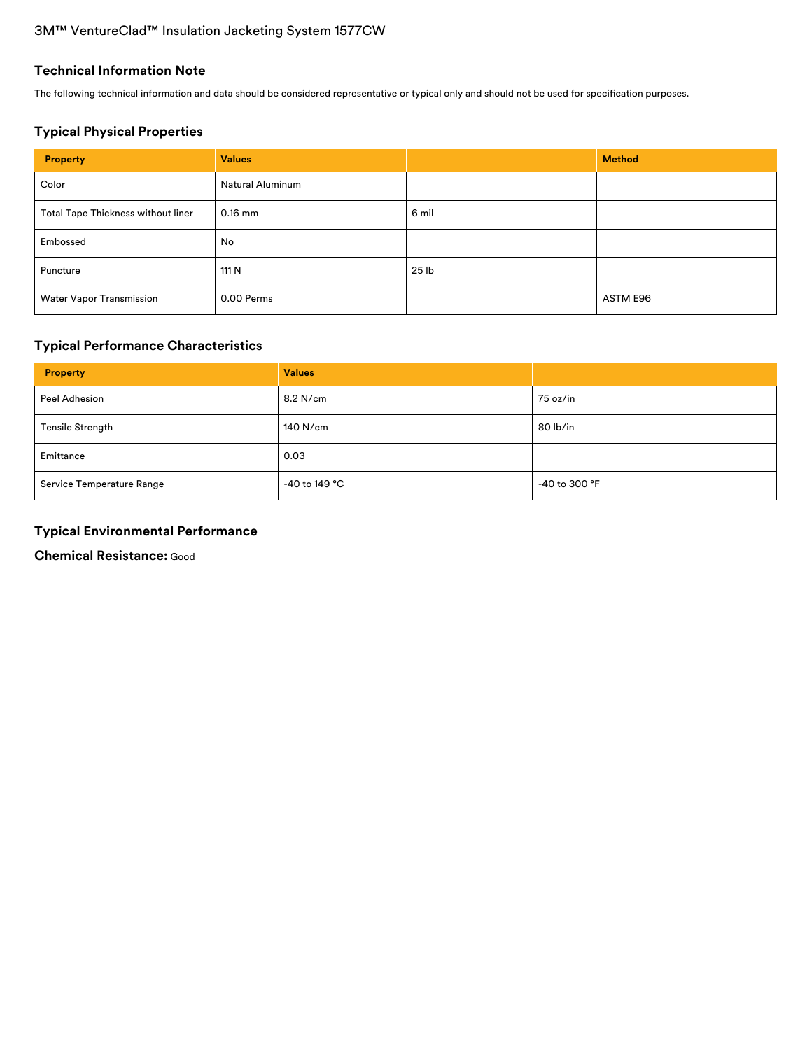# 3M™ VentureClad™ Insulation Jacketing System 1577CW

## **Technical Information Note**

The following technical information and data should be considered representative or typical only and should not be used for specification purposes.

# **Typical Physical Properties**

| <b>Property</b>                    | <b>Values</b>    |       | <b>Method</b> |
|------------------------------------|------------------|-------|---------------|
| Color                              | Natural Aluminum |       |               |
| Total Tape Thickness without liner | $0.16$ mm        | 6 mil |               |
| Embossed                           | No               |       |               |
| Puncture                           | 111 N            | 25 lb |               |
| <b>Water Vapor Transmission</b>    | 0.00 Perms       |       | ASTM E96      |

# **Typical Performance Characteristics**

| <b>Property</b>           | <b>Values</b> |               |
|---------------------------|---------------|---------------|
| Peel Adhesion             | 8.2 N/cm      | 75 oz/in      |
| <b>Tensile Strength</b>   | 140 N/cm      | 80 lb/in      |
| Emittance                 | 0.03          |               |
| Service Temperature Range | -40 to 149 °C | -40 to 300 °F |

# **Typical Environmental Performance**

**Chemical Resistance:** Good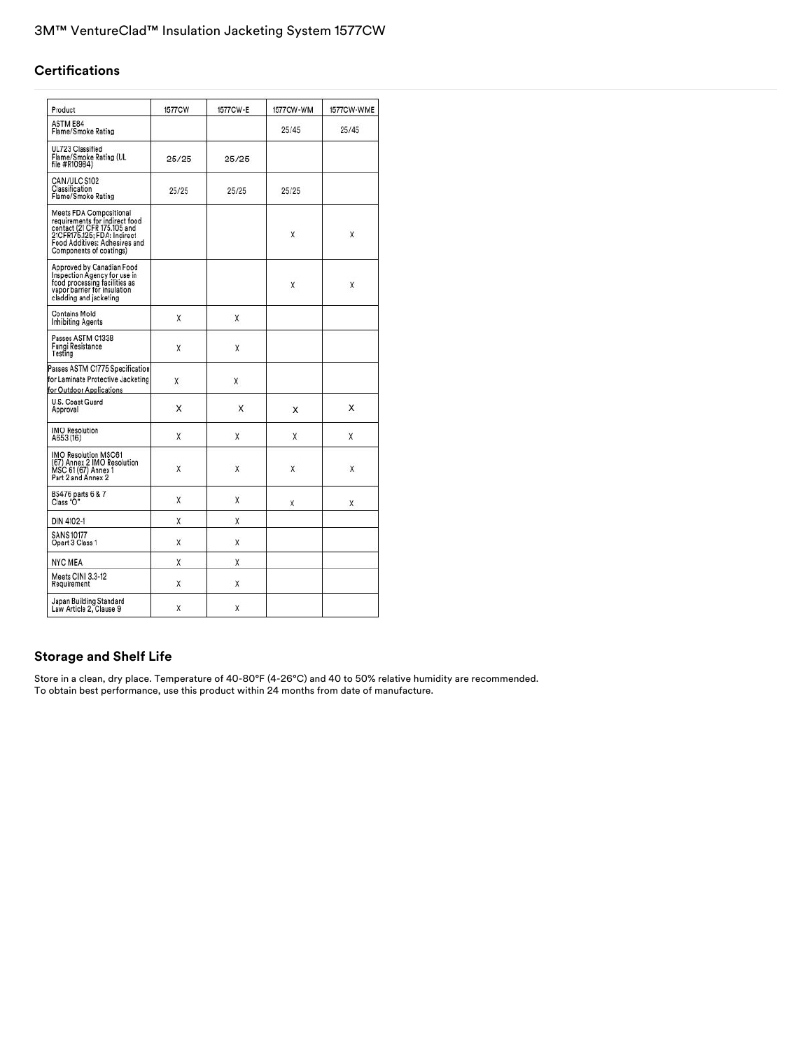## **Certifications**

| Product                                                                                                                                                                             | 1577CW | 1577CW-E | 1577CW-WM | 1577CW-WME |
|-------------------------------------------------------------------------------------------------------------------------------------------------------------------------------------|--------|----------|-----------|------------|
| ASTM E84<br>Flame/Smoke Rating                                                                                                                                                      |        |          | 25/45     | 25/45      |
| UL723 Classified<br>Flame/Smoke Rating (UL<br>file #R10984)                                                                                                                         | 25/25  | 25/25    |           |            |
| CAN/ULC S102<br>Classification<br>Flame/Smoke Rating                                                                                                                                | 25/25  | 25/25    | 25/25     |            |
| Meets FDA Compositional<br>requirements for indirect food<br>contact (21 CFR 175.105 and<br>21CFR175.125; FDA: Indirect<br>Food Additives: Adhesives and<br>Components of coatings) |        |          | X         | X          |
| Approved by Canadian Food<br>Inspection Agency for use in<br>food processing facilities as<br>vapor barrier for insulation<br>cladding and jacketing                                |        |          | Χ         | Χ          |
| <b>Contains Mold</b><br>Inhibiting Agents                                                                                                                                           | X      | X        |           |            |
| Passes ASTM C1338<br>Fungi Resistance<br>Testing                                                                                                                                    | X      | X        |           |            |
| Passes ASTM C1775 Specification<br>for Laminate Protective Jacketing<br>for Outdoor Applications                                                                                    | X      | X        |           |            |
| U.S. Coast Guard<br>Approval                                                                                                                                                        | X      | X        | X         | X          |
| <b>IMO Resolution</b><br>A653 (16)                                                                                                                                                  | X      | X        | X         | X          |
| <b>IMO Resolution MSC61</b><br>(67) Annex 2 IMO Resolution<br>MSC 61 (67) Annex 1<br>Part 2 and Annex 2                                                                             | X      | X        | X         | X          |
| BS476 parts 6 & 7<br>Class "O"                                                                                                                                                      | X      | X        | χ         | X          |
| DIN 4102-1                                                                                                                                                                          | χ      | χ        |           |            |
| <b>SANS 10177</b><br>Opart 3 Class 1                                                                                                                                                | X      | X        |           |            |
| <b>NYC MEA</b>                                                                                                                                                                      | X      | X        |           |            |
| Meets CINI 3.3-12<br>Requirement                                                                                                                                                    | Χ      | X        |           |            |
| Japan Building Standard<br>Law Article 2, Clause 9                                                                                                                                  | X      | X        |           |            |

# **Storage and Shelf Life**

Store in a clean, dry place. Temperature of 40-80°F (4-26°C) and 40 to 50% relative humidity are recommended. To obtain best performance, use this product within 24 months from date of manufacture.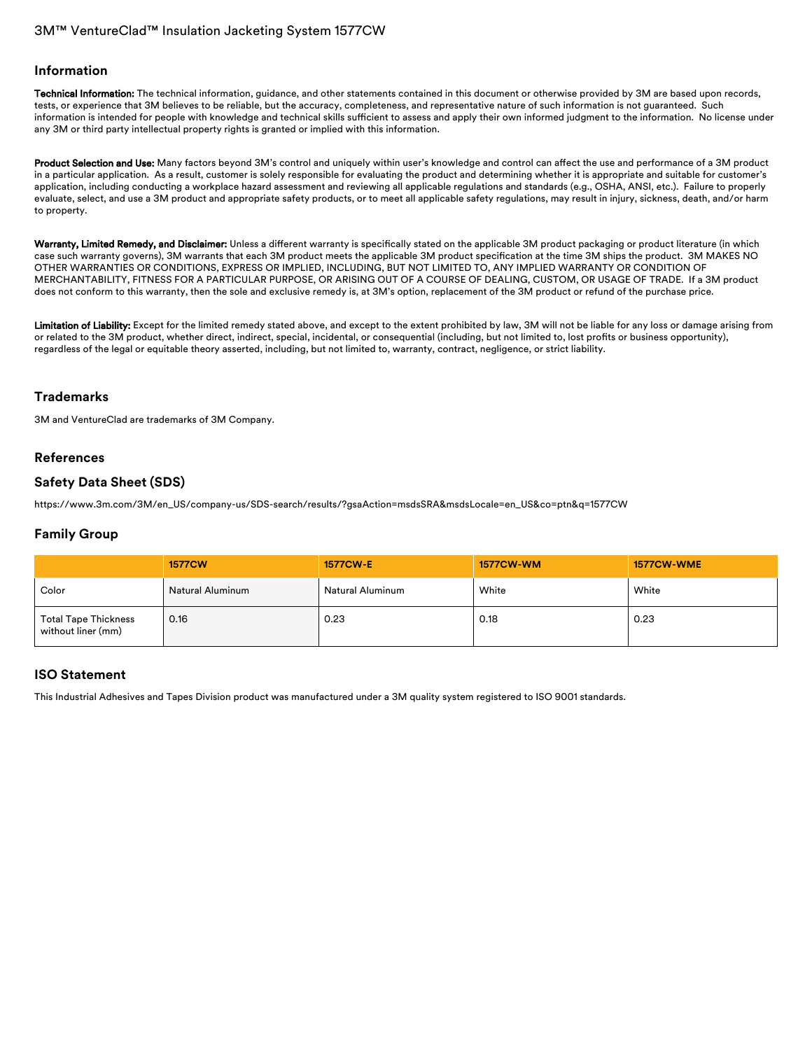# 3M™ VentureClad™ Insulation Jacketing System 1577CW

#### **Information**

Technical Information: The technical information, guidance, and other statements contained in this document or otherwise provided by 3M are based upon records, tests, or experience that 3M believes to be reliable, but the accuracy, completeness, and representative nature of such information is not guaranteed. Such information is intended for people with knowledge and technical skills sufficient to assess and apply their own informed judgment to the information. No license under any 3M or third party intellectual property rights is granted or implied with this information.

Product Selection and Use: Many factors beyond 3M's control and uniquely within user's knowledge and control can affect the use and performance of a 3M product in a particular application. As a result, customer is solely responsible for evaluating the product and determining whether it is appropriate and suitable for customer's application, including conducting a workplace hazard assessment and reviewing all applicable regulations and standards (e.g., OSHA, ANSI, etc.). Failure to properly evaluate, select, and use a 3M product and appropriate safety products, or to meet all applicable safety regulations, may result in injury, sickness, death, and/or harm to property.

Warranty, Limited Remedy, and Disclaimer: Unless a different warranty is specifically stated on the applicable 3M product packaging or product literature (in which case such warranty governs), 3M warrants that each 3M product meets the applicable 3M product specification at the time 3M ships the product. 3M MAKES NO OTHER WARRANTIES OR CONDITIONS, EXPRESS OR IMPLIED, INCLUDING, BUT NOT LIMITED TO, ANY IMPLIED WARRANTY OR CONDITION OF MERCHANTABILITY, FITNESS FOR A PARTICULAR PURPOSE, OR ARISING OUT OF A COURSE OF DEALING, CUSTOM, OR USAGE OF TRADE. If a 3M product does not conform to this warranty, then the sole and exclusive remedy is, at 3M's option, replacement of the 3M product or refund of the purchase price.

Limitation of Liability: Except for the limited remedy stated above, and except to the extent prohibited by law, 3M will not be liable for any loss or damage arising from or related to the 3M product, whether direct, indirect, special, incidental, or consequential (including, but not limited to, lost profits or business opportunity), regardless of the legal or equitable theory asserted, including, but not limited to, warranty, contract, negligence, or strict liability.

## **Trademarks**

3M and VentureClad are trademarks of 3M Company.

## **References**

## **Safety Data Sheet (SDS)**

[https://www.3m.com/3M/en\\_US/company-us/SDS-search/results/?gsaAction=msdsSRA&msdsLocale=en\\_US&co=ptn&q=1577CW](https://www.3m.com/3M/en_US/company-us/SDS-search/results/?gsaAction=msdsSRA&msdsLocale=en_US&co=ptn&q=1577CW)

## **Family Group**

|                                                   | <b>1577CW</b>           | <b>1577CW-E</b>  | <b>1577CW-WM</b> | <b>1577CW-WME</b> |
|---------------------------------------------------|-------------------------|------------------|------------------|-------------------|
| Color                                             | <b>Natural Aluminum</b> | Natural Aluminum | White            | White             |
| <b>Total Tape Thickness</b><br>without liner (mm) | 0.16                    | 0.23             | 0.18             | 0.23              |

#### **ISO Statement**

This Industrial Adhesives and Tapes Division product was manufactured under a 3M quality system registered to ISO 9001 standards.